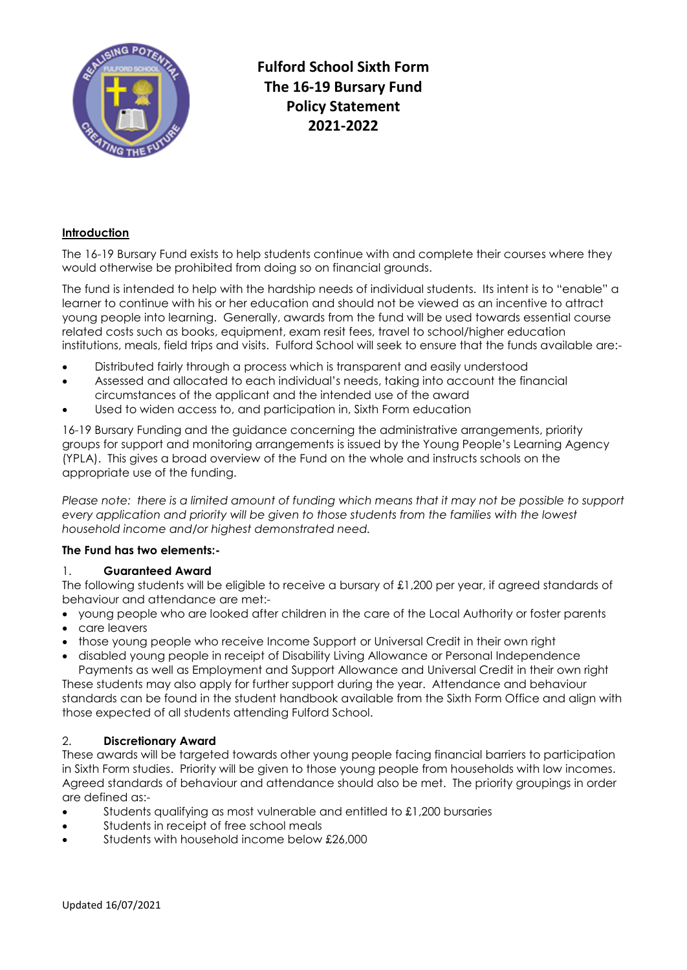

**Fulford School Sixth Form The 16-19 Bursary Fund Policy Statement 2021-2022**

## **Introduction**

The 16-19 Bursary Fund exists to help students continue with and complete their courses where they would otherwise be prohibited from doing so on financial grounds.

The fund is intended to help with the hardship needs of individual students. Its intent is to "enable" a learner to continue with his or her education and should not be viewed as an incentive to attract young people into learning. Generally, awards from the fund will be used towards essential course related costs such as books, equipment, exam resit fees, travel to school/higher education institutions, meals, field trips and visits. Fulford School will seek to ensure that the funds available are:-

- Distributed fairly through a process which is transparent and easily understood
- Assessed and allocated to each individual's needs, taking into account the financial circumstances of the applicant and the intended use of the award
- Used to widen access to, and participation in, Sixth Form education

16-19 Bursary Funding and the guidance concerning the administrative arrangements, priority groups for support and monitoring arrangements is issued by the Young People's Learning Agency (YPLA). This gives a broad overview of the Fund on the whole and instructs schools on the appropriate use of the funding.

*Please note: there is a limited amount of funding which means that it may not be possible to support every application and priority will be given to those students from the families with the lowest household income and/or highest demonstrated need.*

### **The Fund has two elements:-**

### 1. **Guaranteed Award**

The following students will be eligible to receive a bursary of £1,200 per year, if agreed standards of behaviour and attendance are met:-

- young people who are looked after children in the care of the Local Authority or foster parents
- care leavers
- those young people who receive Income Support or Universal Credit in their own right
- disabled young people in receipt of Disability Living Allowance or Personal Independence Payments as well as Employment and Support Allowance and Universal Credit in their own right

These students may also apply for further support during the year. Attendance and behaviour standards can be found in the student handbook available from the Sixth Form Office and align with those expected of all students attending Fulford School.

# 2. **Discretionary Award**

These awards will be targeted towards other young people facing financial barriers to participation in Sixth Form studies. Priority will be given to those young people from households with low incomes. Agreed standards of behaviour and attendance should also be met. The priority groupings in order are defined as:-

- Students qualifying as most vulnerable and entitled to £1,200 bursaries
- Students in receipt of free school meals
- Students with household income below £26,000